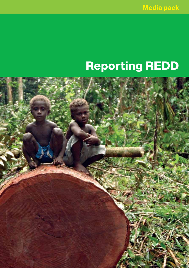# Reporting REDD

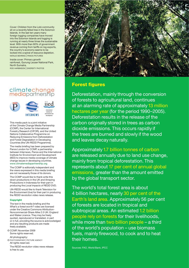Cover: Children from the Lobi community sit on a recently felled tree in the Solomon Islands. In the last ten years many foreign logging companies have moved into the Solomon Islands and logging is running at nearly three times the sustainable level. With more than 60% of government revenue coming from tariffs on log exports, the country's economy seems to be locked into a spiral of resource depletion. NATALIE BEHRING | PANOS PICTURES

Inside cover: Primary growth rainforest, Gunung Leuser National Park, North Sumatra. ROD HARBINSON | DIVERSITY PHOTOS

# climatechange<br>mediapartnership



This media pack is a joint initiative of the Climate Change Media Partnership (CCMP), the Center for International Forestry Research (CIFOR), and the United Nations Collaborative Programme on Reducing Emissions from Deforestation and Forest Degradation in Developing Countries (the UN-REDD Programme).

The media briefing has been prepared by Panos London for CCMP, a partnership between Internews, Panos and the International Institute for Environment and Development (IIED) to improve media coverage of climate change issues in developing countries. www.climatemediapartnership.org

The CCMP is editorially independent and the views expressed in this media briefing are not necessarily those of its donors.

The CCMP would like to thank write this down productions in the UK and Amazing Productions in Indonesia for their part in producing the *Local impacts of REDD* DVD.

UN-REDD would like to thank Television for the Environment (tve) for their part in producing the *REDD revolution* video news release.

# Copyright

The text in the media briefing and the *What's a forest worth?* video are licensed under the Creative Commons Attribution-Noncommercial-Share Alike 2.0 UK: England and Wales Licence. They may be freely quoted, reproduced or translated, in part or in full, providing the source is acknowledged and any resulting products are made freely available.

© CCMP, November 2009 Some rights reserved.

All photography:

© PHOTOGRAPHER | PICTURE AGENCY All rights reserved.

The *REDD revolution* video news release is free to use.



# Forest figures

Deforestation, mainly through the conversion of forests to agricultural land, continues at an alarming rate of approximately13 million hectares per year (for the period 1990–2005). Deforestation results in the release of the carbon originally stored in trees as carbon dioxide emissions. This occurs rapidly if the trees are burned and slowly if the wood and leaves decay naturally.

Approximately 1.7 billion tonnes of carbon are released annually due to land use change, mainly from tropical deforestation. This represents about 17 per cent of annual global emissions, greater than the amount emitted by the global transport sector.

The world's total forest area is about 4 billion hectares, nearly 30 per cent of the Earth's land area. Approximately 56 per cent of forests are located in tropical and subtropical areas. An estimated 1.2 billion people rely on forests for their livelihoods, while more than two billion people – a third of the world's population – use biomass fuels, mainly firewood, to cook and to heat their homes.

Sources: FAO, World Bank, IPCC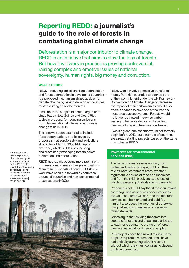# Reporting REDD: a journalist's guide to the role of forests in combating global climate change

Deforestation is a major contributor to climate change. REDD is an initiative that aims to slow the loss of forests. But how it will work in practice is proving controversial, raising complex and emotive issues of national sovereignty, human rights, big money and corruption.

# What is REDD?

REDD – reducing emissions from deforestation and forest degradation in developing countries – is a proposed mechanism aimed at slowing climate change by paying developing countries to stop cutting down their forests.

It has been the subject of heated arguments since Papua New Guinea and Costa Rica tabled a proposal for reducing emissions from deforestation at international climate change talks in 2005.

The idea was soon extended to include 'forest degradation', and followed by proposals that agroforestry and agriculture should be added. In 2008 REDD-plus emerged, which builds in conserving and sustainably managing forests, forest restoration and reforestation.

charcoal and grow soybeans or raise cattle, Pará state, Brazil. Industrial-scale agriculture is one of the main drivers of deforestation. EDUARDO MARTINO | PANOS PICTURES

Rainforest burnt down to produce

> REDD has rapidly become more prominent in international climate change negotiations. More than 30 models of how REDD should work have been put forward by countries, groups of countries and non-governmental organisations (NGOs).

REDD would involve a massive transfer of money from rich countries to poor as part of their commitment under the UN Framework Convention on Climate Change to decrease the impact of their carbon emissions. It also offers a chance to save one of the world's most precious ecosystems. Forests would no longer be viewed merely as timber waiting to be harvested or land awaiting clearance for agriculture (see box below).

Even if agreed, the scheme would not formally begin before 2013, but a number of countries are already starting projects based on the same principles as REDD.

# Payments for environmental services (PES)

The value of forests stems not only from timber and carbon storage, but from their role as water catchment areas, weather regulators, a source of food and medicines, and from their rich biodiversity, the loss of which is a major global crisis in its own right.

Proponents of REDD say that if these functions are recognised as services or commodities, the value of forests will rise, and the different services can be marketed and paid for. It might also boost the incomes of otherwise marginalised communities who serve as forest stewards.

Critics argue that dividing the forest into separate functions and attaching a price tag to each runs counter to the vision of forest dwellers, especially indigenous peoples.

PES projects have had mixed results. Some projects to protect watershed areas have had difficulty attracting private revenue without which they must continue to depend on development aid.

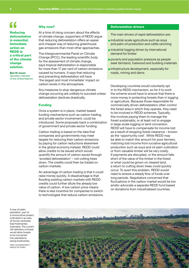**Reducing**  $\begin{array}{c}\n\bullet \\
\bullet \\
\bullet \\
\bullet\n\end{array}$ is essential. Immediate action on REDD is a critical part of the climate change solution.

Ban Ki-moon Secretary-General of the United Nations At a time of rising concern about the effects of climate change, supporters of REDD argue that reducing deforestation offers an easier and cheaper way of reducing greenhouse gas emissions than most other approaches.

The Intergovernmental Panel on Climate Change (IPCC), the leading scientific body for the assessment of climate change, says tropical deforestation is responsible for more than 17 per cent of carbon emissions caused by humans. It says that reducing and preventing deforestation will have 'the largest and most immediate' impact on carbon levels in the atmosphere.

Any measures to stop dangerous climate change occurring are unlikely to succeed unless deforestation declines drastically.

# Funding

Why now?

Once a system is in place, market-based funding mechanisms such as carbon trading, and private sector involvement, could be introduced. Some proposals back a combination of government and private sector funding.

Carbon trading is based on the idea that companies and governments may meet targets for reducing their carbon emissions by paying for carbon reductions elsewhere in the global economy instead. REDD could allow credits to be issued which would quantify the amount of carbon saved through 'avoided deforestation' – not cutting trees down. The credits could then be traded on carbon markets.

An advantage of carbon trading is that it could raise money quickly. A disadvantage is that flooding existing carbon markets with REDD credits could further dilute the already low value of carbon. A low carbon price means there is less incentive for companies to switch to technologies that reduce carbon emissions.

# Deforestation drivers

The main drivers of rapid deforestation are:

- $\blacksquare$  industrial-scale agriculture such as soya and palm oil production and cattle ranching
- **Industrial logging driven by international** demand for timber
- poverty and population pressure as people seek farmland, fuelwood and building materials
- **n** infrastructure development, especially for roads, mining and dams

Developing countries would voluntarily opt in to the REDD mechanism, so for it to work the scheme would have to ensure that there is more money in protecting forests than in logging or agriculture. Because those responsible for commercially driven deforestation often control the forest area in which they operate, they need to be involved in REDD schemes. Typically, this involves paying them to manage the forest sustainably, or at least not to engage in large-scale logging or land conversion. REDD will have to compensate for income lost as a result of stopping forest clearance – known as the 'opportunity cost'. While REDD may be able to match this amount for poor farmers, matching lost income from lucrative agricultural production such as soya and oil palm cultivation or from valuable timber will be very costly. If payments are disrupted, or the amount falls short of the value of the timber in the forest or what could be grown on cleared land, a return to cutting down trees could quickly occur. To avert this problem, REDD would need to ensure a steady flow of funds over long periods. Negotiators concerned that fluctuations in the carbon market would be too erratic advocate a separate REDD fund based on donations from industrialised countries.

A new oil palm plantation, part of a monoculture project, cultivated in an area of former rainforest, East Kalimantan, Indonesia. The current UN definition of forest would allow forests to be converted into plantations, losing biodiversity.

FRED HOOGERVORST | PANOS PICTURES

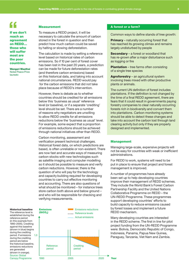# f<br>
If we done<br>
reach an

If we don't agreement on REDD… those who will suffer most are the poor countries.

Wangari Maathai Nobel Peace Prize laureate

Measurement

To measure a REDD project, it will be necessary to calculate the amount of carbon stored in the forest in question and then predict how much carbon could be saved by halting or slowing deforestation.

The calculation is made by setting a reference level based on historical rates of carbon emissions. So if 10 per cent of forest cover has been lost in the past 20 years, a prediction can be made for future deforestation rates (and therefore carbon emissions) based on this historical data, and taking into account national circumstances. REDD would pay for the carbon emissions that did not take place because of REDD's intervention.

However, there is debate as to whether countries should be credited for all emissions below this 'business as usual' reference level (or baseline), or if a separate 'crediting' level should be set. There are a number of reasons why negotiators are unwilling to allow REDD credits for all emissions reductions below the 'business as usual' level. For example, some expect that a proportion of emissions reductions should be achieved through national initiatives other than REDD.

Carbon monitoring, assessment and verification present technical challenges. Historical forest data, on which predictions are based, is often unreliable or non-existent. There are now fast and accurate ways of measuring carbon stocks with new technologies such as satellite imaging and computer modelling so it should be possible to measure and verify carbon reductions. However, there is the question of who will pay for the technology and capacity building required for developing countries to carry out effective monitoring and accounting. There are also questions of what should be monitored – for instance trees store carbon both above and below ground – and who will be responsible for checking and verifying measurements.



# A forest or a farm?

Common ways to define stands of tree growth:

**Primary** – naturally occurring forest that has reached its growing climax and remains largely undisturbed by people

Secondary – a forest or woodland that has re-grown after a major disturbance such as logging or fire

**Plantation** – tree farms often consisting of a single tree species

Agroforestry – an agricultural system involving trees mixed with other productive plants or animals.

The current UN definition of forest includes plantations. If the definition is not changed by the time of a final REDD agreement, there are fears that it could result in governments paying forestry companies to clear naturally occurring forests rich in biodiversity and convert them into plantations. Carbon monitoring systems should be able to detect these changes and take into account the carbon lost through land clearing activity but only if they are properly designed and implemented.

# **Management**

**Year** 

Managing large-scale, expensive projects will not be easy for countries with weak or inefficient administrations.

For REDD to work, systems will need to be put in place to ensure that project and forest management is improved.

A number of programmes have already been set up to help developing countries improve their management of REDD schemes. They include the World Bank's Forest Carbon Partnership Facility and the United Nations Collaborative Programme on REDD – the UN-REDD Programme. These programmes support developing countries' efforts to build capacity to reduce emissions caused by forest losses and implement a future REDD mechanism.

Many developing countries are interested in the REDD scheme. The first in line for pilot project funding from the UN-REDD Programme were: Bolivia, Democratic Republic of Congo, Indonesia, Panama, Papua New Guinea, Paraguay, Tanzania, Viet Nam and Zambia.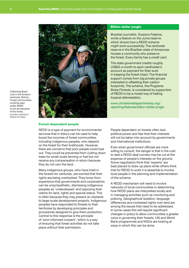

Collecting Brazil nuts in the Amazon rainforest, Bolivia. Forest communities could be paid under REDD to act as stewards of the forest. EDUARDO MARTINO | PANOS PICTURES

# Forest-dependent people

REDD is a type of payment for environmental services that in theory can be used to help boost the incomes of forest communities, including indigenous peoples, who depend on the forest for their livelihoods. However, there are concerns that poor people could lose out. They could be prevented from cutting down trees for small-scale farming or fuel but not receive any compensation in return because they do not own the land.

Many indigenous groups, who have lived in the forests for centuries, are worried that their rights are being overlooked. They know from experience that governments and corporations can be unsympathetic, dismissing indigenous peoples as 'undeveloped' and opposing their claims for land, rights and special status. This is often because they may present an obstacle to large-scale development projects. Indigenous peoples have responded to threats to their territories by developing principles and procedures designed to give them protection. Central to this response is the principle of 'prior informed consent', which is a way of ensuring that forest activities do not take place without their permission.

People dependent on forests often lack political power and fear that their interests will not be taken into account by governments and international institutions.

Billion dollar jungle

tropical deforestation.

Brazilian journalist, Gustavo Faleiros, wrote a feature on the Juma reserve which shows how a REDD scheme might work successfully. The rainforest reserve in the Brazilian state of Amazonas

houses a community who preserve the forest. Every family has a credit card. The state government credits roughly US\$50 a month to each cardholder's account as payment for their work in keeping the forest intact. The financial support comes from big private groups interested in offsetting their carbon footprints. The scheme, the *Programa Bolsa Floresta*, is considered by supporters of REDD to be a model way of halting

www.climatemediapartnership.org/ [reporting/features/billion-dollar-jungle](www.climatemediapartnership.org/reporting/features/billion-dollar-jungle)

Even when government officials are more willing to consult, the danger is that in the rush to seal a REDD deal corners may be cut at the expense of people's interests on the ground. Some negotiators think that 'experts' are best placed to draw up plans while others think that for REDD to work it is essential to involve local people in the planning and implementation of the scheme.

A REDD mechanism will need to involve networks of local communities in determining how REDD plans are interpreted locally and in managing activities such as monitoring and policing. Geographical isolation, language differences and contested rights over land are among the issues that need to be addressed. In some cases this will require significant changes in policy to allow communities a greater voice in governing their forests. UN and World Bank programmes and NGOs are looking at ways in which this can be done.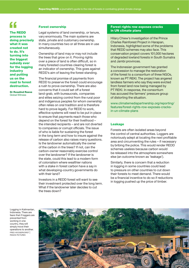The REDD **f**<br>The REDD<br>process is doing precisely what it was created not to do. It's turning into the biggest subsidy ever for the logging industry and putting us on the road to forest destruction.

Dr Rosalind Reeve Global Witness

# Forest ownership

Legal systems of land ownership, or tenure, vary enormously. The main systems are state, private and customary ownership. In many countries two or all three are in use simultaneously.

Ownership of land may or may not include the trees that grow on it. Proving rights over a piece of land is often difficult, so in many forested countries clearing forest is an indicator of ownership. This goes against REDD's aim of leaving the forest standing.

The financial promise of payments from REDD to preserve the forest could encourage a rush to prove ownership. There are also concerns that it could set off a forest land-grab, with bureaucrats, companies and elites seizing control from the rural poor and indigenous peoples for whom ownership often relies on oral tradition and is therefore hard to prove legally. For REDD to work, effective systems will need to be put in place to ensure that payments reach those who depend on the forest for their livelihood – the intended recipients – and are not diverted to companies or corrupt officials. The issue of who is liable for sustaining the forest in the long term and how to insure against the release of carbon also raises many questions. Is the landowner automatically the owner of the carbon in the trees? If not, can the carbon-owner reasonably exercise control over the landowner? If the landowner is the state, could this lead to a modern form of colonialism where wealthier nations with a stake in forest carbon have a say in what developing-country governments do with their land?

Investors in a REDD forest will want to see their investment protected over the long term. What if the landowner later decides to cut the trees down?

# Forest rights row exposes cracks in UN climate plans

Hilary Chiew's investigation of the Prince Charles Rainforest Project in Harapan, Indonesia, highlighted some of the problems that REDD schemes may also face. This conservation project covers 101,000 hectares of degraded lowland forests in South Sumatra and Jambi provinces.

The Indonesian government has granted a concession to manage the restoration of the forest to a consortium of three NGOs, known as PT REKI. The project has angered landless farmers who say they were evicted from forest land now being managed by PT REKI. In response, the consortium has accused the farmers' pressure group of distorting the situation.

[www.climatemediapartnership.org/reporting/](www.climatemediapartnership.org/reporting/features/forest-rights-row-exposes-cracks-in-un-climate-plans) features/forest-rights-row-exposes-cracksin-un-climate-plans

# Leakage

Forests are often isolated areas beyond the control of central authorities. Loggers are notoriously adept at locating the next profitable area and circumventing the rules – if necessary by bribing the police. This would render REDD schemes useless because carbon would be released into the atmosphere somewhere else (an outcome known as 'leakage').

Similarly, there is concern that a reduction in logging in some countries could lead to pressure on other countries to cut down their forests to meet demand. There would be a financial incentive to do so if reductions in logging pushed up the price of timber.

Logging in Kalimantan, Indonesia. There are fears that if loggers are prevented from working in one country, they will simply move their operations to another. FRED HOOGERVORST | PANOS PICTURES

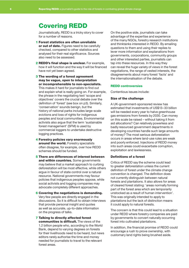# Covering REDD

Journalistically, REDD is a tricky story to cover for a number of reasons.

- 1 Forest statistics are often unreliable or out of date. Figures need to be carefully checked, compared to other statistics and analysed for their real significance. Sources also need to be assessed.
- 2 REDD's final shape is unclear. For example, how it will function and the way it will be financed have not yet been agreed.
- 3 The wording of a forest agreement may be vague, open to interpretation or incomprehensible to non-specialists. This makes it hard for journalists to find out and explain what is really going on. For example, the phrase in the negotiating text 'scope and objectives' covers the crucial debate over the definition of 'forest' (see box on p3). Similarly, 'conservation' sounds benign, but the history of national parks includes large-scale evictions and loss of rights for indigenous peoples and local communities. Environmental activists also argue that the term 'sustainable forest management' (SFM) is used by commercial loggers to undertake destructive logging practices.
- 4 Forestry policies vary enormously around the world. Forestry specialists often disagree, for example, over how REDD schemes should be funded.
- 5 There are differences of interest between and within countries. Some governments may believe that a market approach to curbing deforestation will be most effective, while others argue in favour of state control over a natural resource. National governments may favour policies that indigenous peoples oppose, while social activists and logging companies may advocate completely different approaches.
- **6 Covering the negotiations is demanding.** Very few people are directly engaged in the discussions. So it is difficult to obtain interviews that provide personal insight and quotes as well as accurate, up-to-date information on the progress of talks.
- 7 Talking to directly affected forest communities is difficult. The views of the 1.2 billion people who, according to the World Bank, depend to varying degrees on forests for their livelihoods need to be heard, but news editors rarely authorise the time and money needed for journalists to travel to the relevant forest areas.

On the positive side, journalists can take advantage of the expertise and experience of the many NGOs, forestry research institutions and thinktanks interested in REDD. By emailing questions to them and using their replies to lever more information and explanations from governments, corporations, community groups and other interested parties, journalists can tap into these resources. In this way they can reveal the huge variety of views in the forest negotiations, the range of vested interests, the disagreements about many forest 'facts' and the internationalisation of the debate.

# REDD controversies

Contentious issues include:

# Size of the challenge

A UK-government-sponsored review has estimated that investments of US\$13–33 billion will be needed every year to halve greenhouse gas emissions from forests by 2030. Can money on this scale be raised – without taking it from aid allocations? Can relatively powerless and badly resourced government departments in developing countries handle such large amounts of money? The most serious deforestation occurs in areas where land-use rules are weak and poorly enforced. Injections of REDD money into such areas could exacerbate corruption, exploitation and lawlessness.

# Definitions of a forest

Critics of REDD say the scheme could lead to greater deforestation unless the current definition of forest under the climate change convention is changed. The definition does not currently distinguish between natural forests and plantations. It also allows for areas of cleared forest stating: 'areas normally forming part of the forest area which are temporarily unstocked as a result of human intervention'. This was originally intended to apply to plantations but the lack of distinction means it could apply to natural forests.

The concern is that this could lead to a situation under REDD where forestry companies are paid by governments to convert naturally occurring forest into cultivated plantations.

In addition, the financial promise of REDD could encourage a rush to prove ownership, with customary land rights being brushed aside.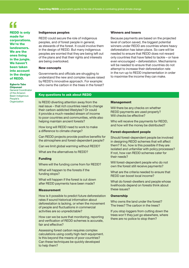# **E**<br>REDI<br>made

REDD is only made for corporations. We're the landowners. We are the ones living in the jungle. We haven't been taken into account in the design of REDD.

Egberto Tabo Chipunavi General Coordinator of the Amazon Basin Indigenous People's **Organization** 

# Indigenous peoples

REDD could secure the role of indigenous peoples, and of forest people in general, as stewards of the forest. It could involve them in the design of REDD. But many indigenous peoples are worried that they are being left out of the plans and that their rights and interests are being overlooked.

# New concepts

Governments and officials are struggling to understand the new and complex issues raised by REDD's innovative approach. For example: who owns the carbon in the trees in the forest?

# Winners and losers

Because payments are based on the projected level of carbon saved, the biggest potential winners under REDD are countries where heavy deforestation has taken place. So care will be needed to ensure that REDD does not reward only countries that have failed to tackle – or have even encouraged – deforestation. Mechanisms will be needed to ensure that countries do not attempt to increase their deforestation rate in the run-up to REDD implementation in order to maximise the income they can make.

# Key questions to ask about REDD

Is REDD diverting attention away from the real issue – that rich countries need to change their carbon-addicted lifestyles? Or could it provide a much-needed stream of income to poor countries and communities, while also helping maintain ancient forests?

How long will REDD need to work to make a difference to climate change?

Can REDD projects provide positive benefits for the atmosphere and forest-dependent people?

Can we limit global warming without REDD?

What are the alternatives to REDD?

# Funding

Where will the funding come from for REDD?

What will happen to the forests if the funding stops?

What will happen if the forest is cut down after REDD payments have been made?

# **Measurement**

How is it possible to predict future deforestation rates if sound historical information about deforestation is lacking, or when the movement of people and fluctuations in commercial activities are so unpredictable?

How can we be sure that monitoring, reporting and verification of REDD schemes is accurate, fair and effective?

Assessing forest carbon requires complex calculations using costly high-tech equipment. Is this beyond the means of poor countries? Can these techniques be quickly developed to help them?

# Management

Will there be any checks on whether REDD payments are used properly? Will checks be effective?

Who will receive the payments for REDD, and how will the money be distributed?

# Forest-dependent people

Should forest-dependent people be involved in designing REDD schemes that will affect them? If so, how is this possible if they are isolated and unfamiliar with policy processes? If not, how can REDD schemes cater for their needs?

Will forest-dependent people who do not own the forest still receive payments?

What are the criteria needed to ensure that REDD can boost local income?

What do forest-dwellers and people whose livelihoods depend on forests think about these issues?

# **Ownership**

Who owns the land under the forest? The trees? The carbon in the trees?

If you stop loggers from cutting down the trees won't they just go elsewhere, where there are no police to stop them?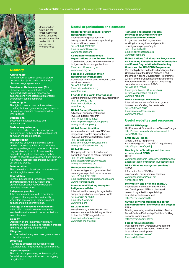

Mbuti children hunting in the forest, Cameroon. Talking directly to forest communities can be difficult. GIACOMO PIROZZI | PANOS PICTURES

# **Glossarv**

# **Additionality**

Extra amount of carbon saved or stored because of projects carried out through climate change agreements.

# Baseline or Reference level (RL)

Historical reference point (date or year) against which the rate of greenhouse gas emissions from deforestation or forest degradation can be compared.

# Carbon rights

The right to use carbon credits or offsets to satisfy limits on greenhouse gas emissions or to reduce penalties for exceeding the limit imposed.

#### Carbon sink

Ecosystem that accumulates and stores carbon.

# Carbon sequestration

Removal of carbon from the atmosphere and storage in carbon sinks through natural or human-induced methods.

# Carbon trading

The process of buying and selling carbon credits. Large companies or organisations are assigned targets for the amount of carbon they are allowed to emit. A company that exceeds its target will need to buy carbon credits to offset the extra carbon it has emitted. A company that uses less than its quota can sell surplus credits.

#### **Deforestation**

The conversion of forest land to non-forested land through human activity.

### **Degradation**

Human-induced long-term loss of forest, characterised by the reduction of tree crown cover, but not yet considered as complete deforestation.

#### Indigenous peoples

Tribe or community native to a particular region and sharing a collective identity who retain some or all of their own social, cultural and political institutions.

# Leakage or emissions displacement

When efforts to reduce emissions in one area lead to an increase in carbon emissions in another area.

# Liability

Obligation on the implementing party to guarantee that the emissions reduction credited in the REDD scheme is permanent.

# **Mitigation**

Actions that reduce greenhouse gas emissions to the atmosphere.

#### **Offsetting**

Payment to emissions reduction projects to compensate for greenhouse gas emissions.

# Opportunity cost

The cost of compensating for financial gains from deforestation practices such as logging or agriculture.

#### Center for International Forestry Research (CIFOR)

International organisation with headquarters in Indonesia specialising in tropical forest research Tel: +62 251 862 2622 Email: j.clarke@cgiar.org www.cifor.cgiar.org

# Coordinator of Indigenous

Organizations of the Amazon Basin Coordinating group for the nine national indigenous Amazon organisations Email: com@coica.org.ec www.coica.org.ec

# Forest and European Union

Resource Network (FERN) Specialises in monitoring European Union activity on forests Tel: +32 2 894 4694 Email: richardw@fern.org www.fern.org

#### Friends of the Earth International

Campaigning environmental NGO federation Tel: +31 20 6221369 Email: niccolo@foei.org www.foei.org

#### Global Canopy Programme Alliance of scientific institutions

involved in forest research Tel: +44 (0) 1865 724 222 Email: c.parker@globalcanopy.org www.alobalcanopy.org

# Global Forest Coalition

An international coalition of NGOs and indigenous peoples organisations involved in international forest policy Tel: +595 21 663654

Email: simonelovera@yahoo.com www.globalforestcoalition.org

#### Global Witness

Campaigns to prevent conflict and corruption related to natural resources Tel: +44 207 4925858 Email: abarry@globalwitness.org www.globalwitness.org

#### Greenpeace International

Independent global organisation that campaigns to protect the environment Tel: +31 (0) 20 718 2096 Email: patrizia.cuonzo@greenpeace.org www.greenpeace.org

#### International Working Group for Indigenous Affairs

International human rights organisation supporting indigenous peoples' rights Tel: (+45) 35 27 05 00 Email: lga@iwgia.org www.iwgia.org

## REDD-Monitor

Website run by a forest expert and environmental activist taking a critical look at the REDD negotiations Email: chris@chrislang.org www.redd-monitor.org

#### Tebtebba (Indigenous Peoples' International Centre for Policy Research and Education)

Indigenous peoples' organisation working for recognition and protection of indigenous peoples' rights Tel: +63 74 4447703 Email: vicky@tebtebba.org www.tebtebba.org

# United Nations Collaborative Programme on Reducing Emissions from Deforestation and Forest Degradation in Developing Countries (the UN-REDD Programme)

Partnership between the Food and Agriculture Organization of the United Nations (FAO), the United Nations Development Programme (UNDP) and the United Nations Environment Programme (UNEP) to support developing countries to prepare for REDD Tel: +41 22 9178944

Email: yemi.katerere@un-redd.org or tiina.vahanen@un-redd.org www.un-redd.org

# World Rainforest Movement

International network of citizens' groups involved in defending the rainforests Tel: +598 2 413 2989 Email: rcarrere@wrm.org.uy www.wrm.org.uy

# Useful websites and resources

#### Official REDD page

UN Framework Convention on Climate Change http://unfccc.int/methods\_science/redd/ items/4531.php

# Little REDD+ Book

Global Canopy Programme An updated guide to the REDD negotiations http://tinyurl.com/yge6hjb

## Reading list of briefings and journals articles about REDD

CIFOR www.cifor.cgiar.org/Research/ClimateChange/ [EssentialReading/mitigation-publications.htm](www.cifor.cgiar.org/Research/ClimateChange/EssentialReading/mitigation-publications.htm)

### PES – What are ecosystem services?

CIFOR Information from CIFOR on payments for environmental services [www.cifor.cgiar.org/pes/\\_ref/](www.cifor.cgiar.org/pes/_ref/home/index.htm) home/index.htm

## Information and briefings on REDD

International Institute for Environment and Development (IIED), a UK-based research organisation specialising in sustainable development http://tinyurl.com/pzdl8r

#### Cutting corners: World Bank's forest and carbon fund fails forests and peoples FERN

Briefing analysing whether the World Bank's Forest Carbon Partnership Facility is fulfilling its social commitments http://tinyurl.com/ykkfnv6

# Forest resources pages

Publications from Overseas Development Institute (ODI) – a UK-based thinktank on international development [www.odi.org.uk/themes/](www.odi.org.uk/themes/forests/default.asp) forests/default.asp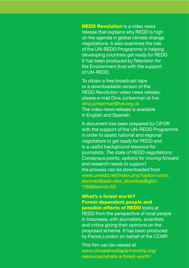**REDD Revolution** is a video news release that explains why REDD is high on the agenda in global climate change negotiations. It also examines the role of the UN-REDD Programme in helping developing countries get ready for REDD. It has been produced byTelevision for the Environment (tve) with the support of UN-REDD.

To obtain a free broadcast tape or a downloadable version of the *REDD Revolution* video news release, please e-mail Dina Junkerman at tve: dina.junkerman@tve.org.uk The video news release is available in English and Spanish.

A document has been prepared by CIFOR with the support of the UN-REDD Programme in order to assist national and regional negotiators to get ready for REDD and is a useful background resource for journalists. *The state of REDD negotiations: Consensus points, options for moving forward and research needs to support the process* can be downloaded from [www.unredd.net/index.php?option=com\\_](www.unredd.net/index.php?option=com_docman&task=doc_download&gid=1188&Itemid=53) docman&task=doc\_download&gid= 1188&Itemid=53

# What's a forest worth? Forest-dependent people and

possible effects of REDD looks at REDD from the perspective of local people in Indonesia, with journalists, scientists and critics giving their opinions on the proposed scheme. It has been produced by Panos London on behalf of the CCMP.

This film can be viewed at [www.climatemediapartnership.org/](www.climatemediapartnership.org/resources/whats-a-forest-worth/) resources/whats-a-forest-worth/